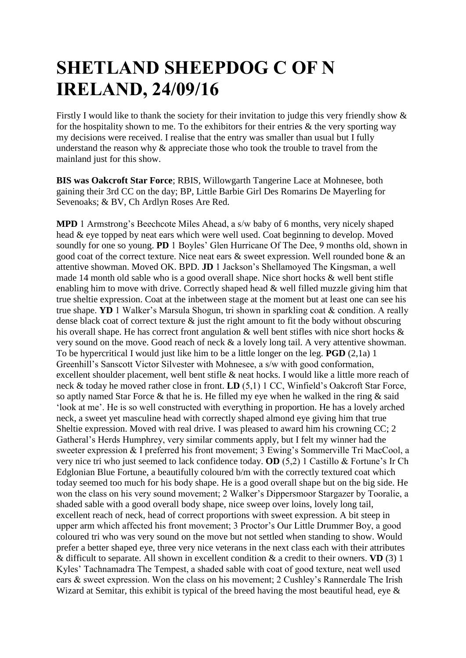## **SHETLAND SHEEPDOG C OF N IRELAND, 24/09/16**

Firstly I would like to thank the society for their invitation to judge this very friendly show  $\&$ for the hospitality shown to me. To the exhibitors for their entries  $\&$  the very sporting way my decisions were received. I realise that the entry was smaller than usual but I fully understand the reason why & appreciate those who took the trouble to travel from the mainland just for this show.

**BIS was Oakcroft Star Force**; RBIS, Willowgarth Tangerine Lace at Mohnesee, both gaining their 3rd CC on the day; BP, Little Barbie Girl Des Romarins De Mayerling for Sevenoaks; & BV, Ch Ardlyn Roses Are Red.

**MPD** 1 Armstrong's Beechcote Miles Ahead, a s/w baby of 6 months, very nicely shaped head & eye topped by neat ears which were well used. Coat beginning to develop. Moved soundly for one so young. **PD** 1 Boyles' Glen Hurricane Of The Dee, 9 months old, shown in good coat of the correct texture. Nice neat ears & sweet expression. Well rounded bone & an attentive showman. Moved OK. BPD. **JD** 1 Jackson's Shellamoyed The Kingsman, a well made 14 month old sable who is a good overall shape. Nice short hocks & well bent stifle enabling him to move with drive. Correctly shaped head & well filled muzzle giving him that true sheltie expression. Coat at the inbetween stage at the moment but at least one can see his true shape. **YD** 1 Walker's Marsula Shogun, tri shown in sparkling coat & condition. A really dense black coat of correct texture  $\&$  just the right amount to fit the body without obscuring his overall shape. He has correct front angulation & well bent stifles with nice short hocks & very sound on the move. Good reach of neck & a lovely long tail. A very attentive showman. To be hypercritical I would just like him to be a little longer on the leg. **PGD** (2,1a) 1 Greenhill's Sanscott Victor Silvester with Mohnesee, a s/w with good conformation, excellent shoulder placement, well bent stifle & neat hocks. I would like a little more reach of neck & today he moved rather close in front. **LD** (5,1) 1 CC, Winfield's Oakcroft Star Force, so aptly named Star Force & that he is. He filled my eye when he walked in the ring & said 'look at me'. He is so well constructed with everything in proportion. He has a lovely arched neck, a sweet yet masculine head with correctly shaped almond eye giving him that true Sheltie expression. Moved with real drive. I was pleased to award him his crowning CC; 2 Gatheral's Herds Humphrey, very similar comments apply, but I felt my winner had the sweeter expression & I preferred his front movement; 3 Ewing's Sommerville Tri MacCool, a very nice tri who just seemed to lack confidence today. **OD** (5,2) 1 Castillo & Fortune's Ir Ch Edglonian Blue Fortune, a beautifully coloured b/m with the correctly textured coat which today seemed too much for his body shape. He is a good overall shape but on the big side. He won the class on his very sound movement; 2 Walker's Dippersmoor Stargazer by Tooralie, a shaded sable with a good overall body shape, nice sweep over loins, lovely long tail, excellent reach of neck, head of correct proportions with sweet expression. A bit steep in upper arm which affected his front movement; 3 Proctor's Our Little Drummer Boy, a good coloured tri who was very sound on the move but not settled when standing to show. Would prefer a better shaped eye, three very nice veterans in the next class each with their attributes & difficult to separate. All shown in excellent condition & a credit to their owners. **VD** (3) 1 Kyles' Tachnamadra The Tempest, a shaded sable with coat of good texture, neat well used ears & sweet expression. Won the class on his movement; 2 Cushley's Rannerdale The Irish Wizard at Semitar, this exhibit is typical of the breed having the most beautiful head, eye &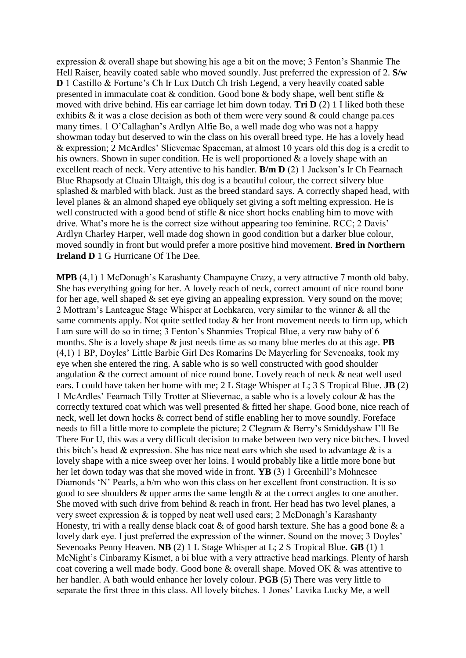expression & overall shape but showing his age a bit on the move; 3 Fenton's Shanmie The Hell Raiser, heavily coated sable who moved soundly. Just preferred the expression of 2. **S/w D** 1 Castillo & Fortune's Ch Ir Lux Dutch Ch Irish Legend, a very heavily coated sable presented in immaculate coat & condition. Good bone & body shape, well bent stifle & moved with drive behind. His ear carriage let him down today. **Tri D** (2) 1 I liked both these exhibits  $\&$  it was a close decision as both of them were very sound  $\&$  could change pa.ces many times. 1 O'Callaghan's Ardlyn Alfie Bo, a well made dog who was not a happy showman today but deserved to win the class on his overall breed type. He has a lovely head & expression; 2 McArdles' Slievemac Spaceman, at almost 10 years old this dog is a credit to his owners. Shown in super condition. He is well proportioned & a lovely shape with an excellent reach of neck. Very attentive to his handler. **B/m D** (2) 1 Jackson's Ir Ch Fearnach Blue Rhapsody at Cluain Ultaigh, this dog is a beautiful colour, the correct silvery blue splashed & marbled with black. Just as the breed standard says. A correctly shaped head, with level planes & an almond shaped eye obliquely set giving a soft melting expression. He is well constructed with a good bend of stifle  $\&$  nice short hocks enabling him to move with drive. What's more he is the correct size without appearing too feminine. RCC; 2 Davis' Ardlyn Charley Harper, well made dog shown in good condition but a darker blue colour, moved soundly in front but would prefer a more positive hind movement. **Bred in Northern Ireland D** 1 G Hurricane Of The Dee.

**MPB** (4,1) 1 McDonagh's Karashanty Champayne Crazy, a very attractive 7 month old baby. She has everything going for her. A lovely reach of neck, correct amount of nice round bone for her age, well shaped & set eye giving an appealing expression. Very sound on the move; 2 Mottram's Lanteague Stage Whisper at Lochkaren, very similar to the winner & all the same comments apply. Not quite settled today  $\&$  her front movement needs to firm up, which I am sure will do so in time; 3 Fenton's Shanmies Tropical Blue, a very raw baby of 6 months. She is a lovely shape & just needs time as so many blue merles do at this age. **PB**  (4,1) 1 BP, Doyles' Little Barbie Girl Des Romarins De Mayerling for Sevenoaks, took my eye when she entered the ring. A sable who is so well constructed with good shoulder angulation & the correct amount of nice round bone. Lovely reach of neck & neat well used ears. I could have taken her home with me; 2 L Stage Whisper at L; 3 S Tropical Blue. **JB** (2) 1 McArdles' Fearnach Tilly Trotter at Slievemac, a sable who is a lovely colour & has the correctly textured coat which was well presented & fitted her shape. Good bone, nice reach of neck, well let down hocks & correct bend of stifle enabling her to move soundly. Foreface needs to fill a little more to complete the picture; 2 Clegram & Berry's Smiddyshaw I'll Be There For U, this was a very difficult decision to make between two very nice bitches. I loved this bitch's head  $\&$  expression. She has nice neat ears which she used to advantage  $\&$  is a lovely shape with a nice sweep over her loins. I would probably like a little more bone but her let down today was that she moved wide in front. **YB** (3) 1 Greenhill's Mohnesee Diamonds 'N' Pearls, a b/m who won this class on her excellent front construction. It is so good to see shoulders & upper arms the same length & at the correct angles to one another. She moved with such drive from behind & reach in front. Her head has two level planes, a very sweet expression & is topped by neat well used ears; 2 McDonagh's Karashanty Honesty, tri with a really dense black coat  $\&$  of good harsh texture. She has a good bone  $\&$  a lovely dark eye. I just preferred the expression of the winner. Sound on the move; 3 Doyles' Sevenoaks Penny Heaven. **NB** (2) 1 L Stage Whisper at L; 2 S Tropical Blue. **GB** (1) 1 McNight's Cinbaramy Kismet, a bi blue with a very attractive head markings. Plenty of harsh coat covering a well made body. Good bone & overall shape. Moved OK & was attentive to her handler. A bath would enhance her lovely colour. **PGB** (5) There was very little to separate the first three in this class. All lovely bitches. 1 Jones' Lavika Lucky Me, a well